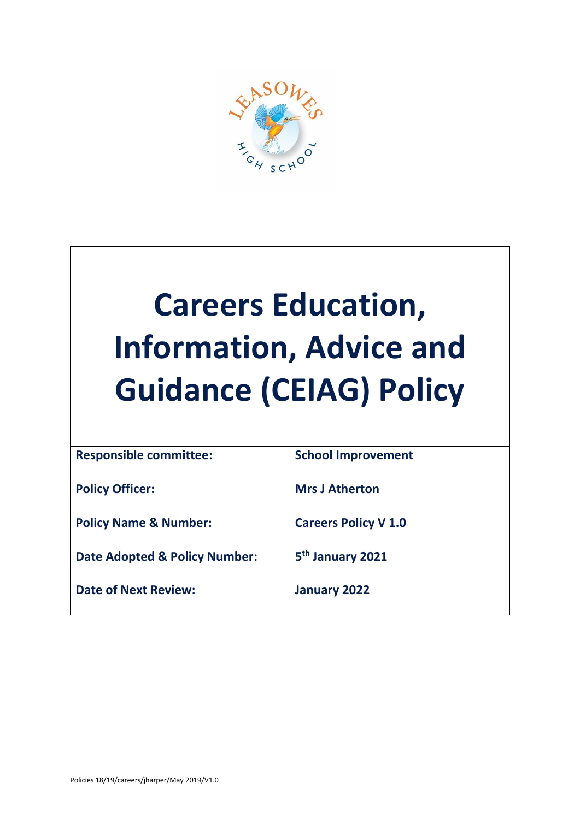

# **Careers Education, Information, Advice and Guidance (CEIAG) Policy**

| <b>Responsible committee:</b>            | <b>School Improvement</b>    |
|------------------------------------------|------------------------------|
| <b>Policy Officer:</b>                   | <b>Mrs J Atherton</b>        |
| <b>Policy Name &amp; Number:</b>         | <b>Careers Policy V 1.0</b>  |
| <b>Date Adopted &amp; Policy Number:</b> | 5 <sup>th</sup> January 2021 |
| <b>Date of Next Review:</b>              | January 2022                 |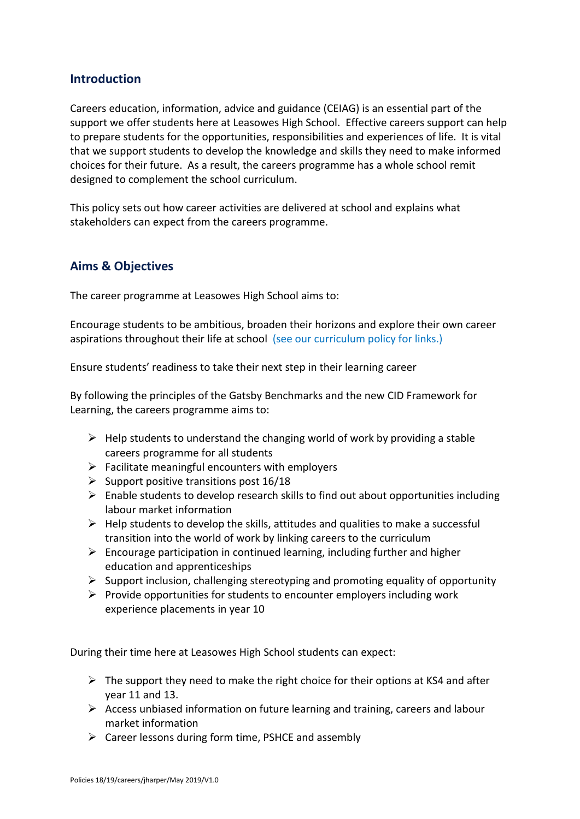# **Introduction**

Careers education, information, advice and guidance (CEIAG) is an essential part of the support we offer students here at Leasowes High School. Effective careers support can help to prepare students for the opportunities, responsibilities and experiences of life. It is vital that we support students to develop the knowledge and skills they need to make informed choices for their future. As a result, the careers programme has a whole school remit designed to complement the school curriculum.

This policy sets out how career activities are delivered at school and explains what stakeholders can expect from the careers programme.

# **Aims & Objectives**

The career programme at Leasowes High School aims to:

Encourage students to be ambitious, broaden their horizons and explore their own career aspirations throughout their life at school (see our curriculum policy for links.)

Ensure students' readiness to take their next step in their learning career

By following the principles of the Gatsby Benchmarks and the new CID Framework for Learning, the careers programme aims to:

- $\triangleright$  Help students to understand the changing world of work by providing a stable careers programme for all students
- $\triangleright$  Facilitate meaningful encounters with employers
- $\triangleright$  Support positive transitions post 16/18
- ➢ Enable students to develop research skills to find out about opportunities including labour market information
- $\triangleright$  Help students to develop the skills, attitudes and qualities to make a successful transition into the world of work by linking careers to the curriculum
- $\triangleright$  Encourage participation in continued learning, including further and higher education and apprenticeships
- ➢ Support inclusion, challenging stereotyping and promoting equality of opportunity
- $\triangleright$  Provide opportunities for students to encounter employers including work experience placements in year 10

During their time here at Leasowes High School students can expect:

- $\triangleright$  The support they need to make the right choice for their options at KS4 and after year 11 and 13.
- $\triangleright$  Access unbiased information on future learning and training, careers and labour market information
- $\triangleright$  Career lessons during form time, PSHCE and assembly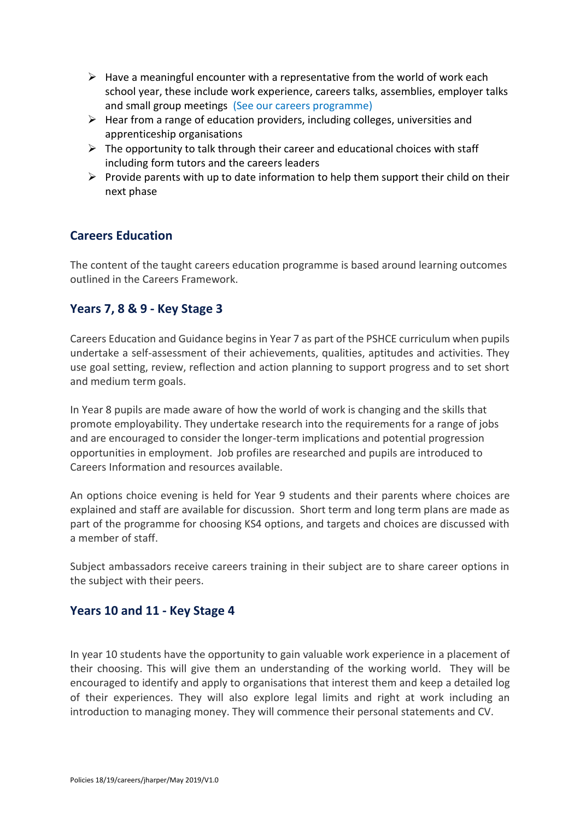- $\triangleright$  Have a meaningful encounter with a representative from the world of work each school year, these include work experience, careers talks, assemblies, employer talks and small group meetings (See our careers programme)
- $\triangleright$  Hear from a range of education providers, including colleges, universities and apprenticeship organisations
- $\triangleright$  The opportunity to talk through their career and educational choices with staff including form tutors and the careers leaders
- $\triangleright$  Provide parents with up to date information to help them support their child on their next phase

# **Careers Education**

The content of the taught careers education programme is based around learning outcomes outlined in the Careers Framework.

# **Years 7, 8 & 9 - Key Stage 3**

Careers Education and Guidance begins in Year 7 as part of the PSHCE curriculum when pupils undertake a self-assessment of their achievements, qualities, aptitudes and activities. They use goal setting, review, reflection and action planning to support progress and to set short and medium term goals.

In Year 8 pupils are made aware of how the world of work is changing and the skills that promote employability. They undertake research into the requirements for a range of jobs and are encouraged to consider the longer-term implications and potential progression opportunities in employment. Job profiles are researched and pupils are introduced to Careers Information and resources available.

An options choice evening is held for Year 9 students and their parents where choices are explained and staff are available for discussion. Short term and long term plans are made as part of the programme for choosing KS4 options, and targets and choices are discussed with a member of staff.

Subject ambassadors receive careers training in their subject are to share career options in the subject with their peers.

#### **Years 10 and 11 - Key Stage 4**

In year 10 students have the opportunity to gain valuable work experience in a placement of their choosing. This will give them an understanding of the working world. They will be encouraged to identify and apply to organisations that interest them and keep a detailed log of their experiences. They will also explore legal limits and right at work including an introduction to managing money. They will commence their personal statements and CV.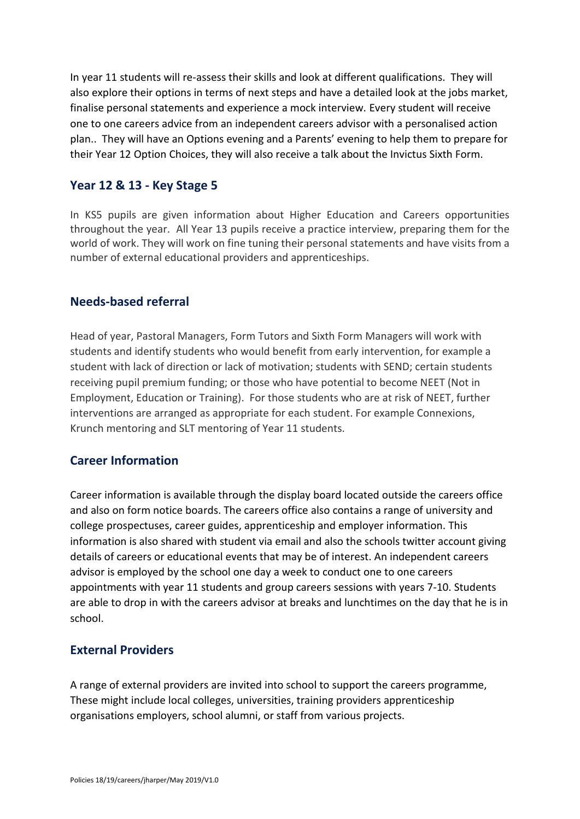In year 11 students will re-assess their skills and look at different qualifications. They will also explore their options in terms of next steps and have a detailed look at the jobs market, finalise personal statements and experience a mock interview. Every student will receive one to one careers advice from an independent careers advisor with a personalised action plan.. They will have an Options evening and a Parents' evening to help them to prepare for their Year 12 Option Choices, they will also receive a talk about the Invictus Sixth Form.

# **Year 12 & 13 - Key Stage 5**

In KS5 pupils are given information about Higher Education and Careers opportunities throughout the year. All Year 13 pupils receive a practice interview, preparing them for the world of work. They will work on fine tuning their personal statements and have visits from a number of external educational providers and apprenticeships.

# **Needs-based referral**

Head of year, Pastoral Managers, Form Tutors and Sixth Form Managers will work with students and identify students who would benefit from early intervention, for example a student with lack of direction or lack of motivation; students with SEND; certain students receiving pupil premium funding; or those who have potential to become NEET (Not in Employment, Education or Training). For those students who are at risk of NEET, further interventions are arranged as appropriate for each student. For example Connexions, Krunch mentoring and SLT mentoring of Year 11 students.

# **Career Information**

Career information is available through the display board located outside the careers office and also on form notice boards. The careers office also contains a range of university and college prospectuses, career guides, apprenticeship and employer information. This information is also shared with student via email and also the schools twitter account giving details of careers or educational events that may be of interest. An independent careers advisor is employed by the school one day a week to conduct one to one careers appointments with year 11 students and group careers sessions with years 7-10. Students are able to drop in with the careers advisor at breaks and lunchtimes on the day that he is in school.

# **External Providers**

A range of external providers are invited into school to support the careers programme, These might include local colleges, universities, training providers apprenticeship organisations employers, school alumni, or staff from various projects.